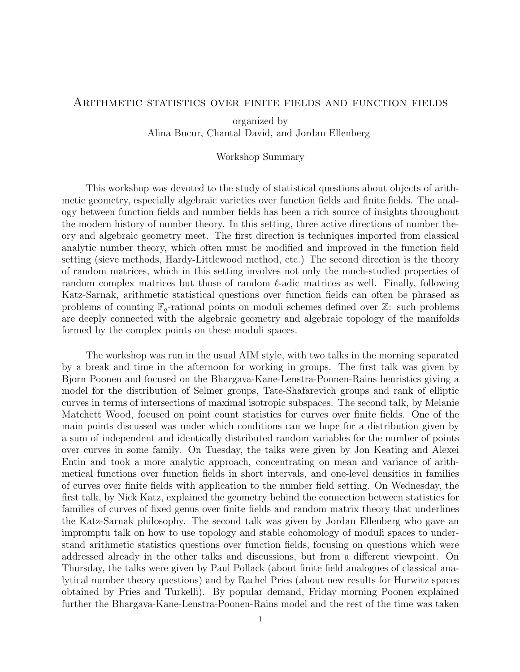## Arithmetic statistics over finite fields and function fields

organized by Alina Bucur, Chantal David, and Jordan Ellenberg

## Workshop Summary

This workshop was devoted to the study of statistical questions about objects of arithmetic geometry, especially algebraic varieties over function fields and finite fields. The analogy between function fields and number fields has been a rich source of insights throughout the modern history of number theory. In this setting, three active directions of number theory and algebraic geometry meet. The first direction is techniques imported from classical analytic number theory, which often must be modified and improved in the function field setting (sieve methods, Hardy-Littlewood method, etc.) The second direction is the theory of random matrices, which in this setting involves not only the much-studied properties of random complex matrices but those of random  $\ell$ -adic matrices as well. Finally, following Katz-Sarnak, arithmetic statistical questions over function fields can often be phrased as problems of counting  $\mathbb{F}_q$ -rational points on moduli schemes defined over Z: such problems are deeply connected with the algebraic geometry and algebraic topology of the manifolds formed by the complex points on these moduli spaces.

The workshop was run in the usual AIM style, with two talks in the morning separated by a break and time in the afternoon for working in groups. The first talk was given by Bjorn Poonen and focused on the Bhargava-Kane-Lenstra-Poonen-Rains heuristics giving a model for the distribution of Selmer groups, Tate-Shafarevich groups and rank of elliptic curves in terms of intersections of maximal isotropic subspaces. The second talk, by Melanie Matchett Wood, focused on point count statistics for curves over finite fields. One of the main points discussed was under which conditions can we hope for a distribution given by a sum of independent and identically distributed random variables for the number of points over curves in some family. On Tuesday, the talks were given by Jon Keating and Alexei Entin and took a more analytic approach, concentrating on mean and variance of arithmetical functions over function fields in short intervals, and one-level densities in families of curves over finite fields with application to the number field setting. On Wednesday, the first talk, by Nick Katz, explained the geometry behind the connection between statistics for families of curves of fixed genus over finite fields and random matrix theory that underlines the Katz-Sarnak philosophy. The second talk was given by Jordan Ellenberg who gave an impromptu talk on how to use topology and stable cohomology of moduli spaces to understand arithmetic statistics questions over function fields, focusing on questions which were addressed already in the other talks and discussions, but from a different viewpoint. On Thursday, the talks were given by Paul Pollack (about finite field analogues of classical analytical number theory questions) and by Rachel Pries (about new results for Hurwitz spaces obtained by Pries and Turkelli). By popular demand, Friday morning Poonen explained further the Bhargava-Kane-Lenstra-Poonen-Rains model and the rest of the time was taken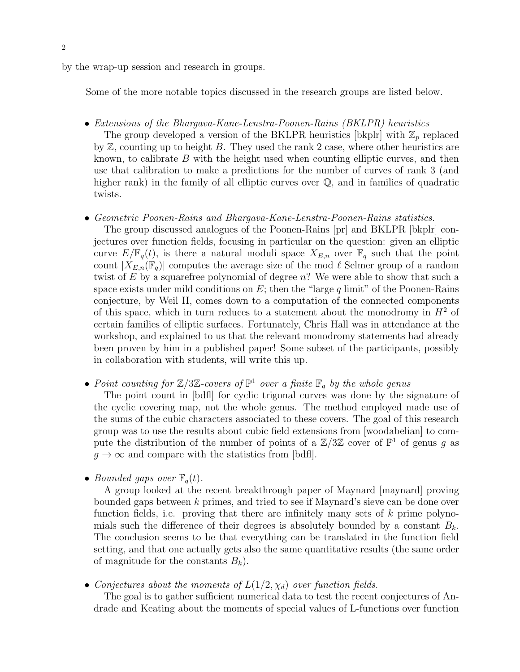by the wrap-up session and research in groups.

Some of the more notable topics discussed in the research groups are listed below.

- Extensions of the Bhargava-Kane-Lenstra-Poonen-Rains (BKLPR) heuristics The group developed a version of the BKLPR heuristics [bkplr] with  $\mathbb{Z}_p$  replaced by  $Z$ , counting up to height  $B$ . They used the rank 2 case, where other heuristics are known, to calibrate  $B$  with the height used when counting elliptic curves, and then use that calibration to make a predictions for the number of curves of rank 3 (and higher rank) in the family of all elliptic curves over  $\mathbb Q$ , and in families of quadratic twists.
- Geometric Poonen-Rains and Bhargava-Kane-Lenstra-Poonen-Rains statistics.

The group discussed analogues of the Poonen-Rains [pr] and BKLPR [bkplr] conjectures over function fields, focusing in particular on the question: given an elliptic curve  $E/\mathbb{F}_q(t)$ , is there a natural moduli space  $X_{E,n}$  over  $\mathbb{F}_q$  such that the point count  $|X_{E,n}(\mathbb{F}_q)|$  computes the average size of the mod  $\ell$  Selmer group of a random twist of  $E$  by a squarefree polynomial of degree  $n$ ? We were able to show that such a space exists under mild conditions on  $E$ ; then the "large q limit" of the Poonen-Rains conjecture, by Weil II, comes down to a computation of the connected components of this space, which in turn reduces to a statement about the monodromy in  $H<sup>2</sup>$  of certain families of elliptic surfaces. Fortunately, Chris Hall was in attendance at the workshop, and explained to us that the relevant monodromy statements had already been proven by him in a published paper! Some subset of the participants, possibly in collaboration with students, will write this up.

• Point counting for  $\mathbb{Z}/3\mathbb{Z}$ -covers of  $\mathbb{P}^1$  over a finite  $\mathbb{F}_q$  by the whole genus

The point count in [bdfl] for cyclic trigonal curves was done by the signature of the cyclic covering map, not the whole genus. The method employed made use of the sums of the cubic characters associated to these covers. The goal of this research group was to use the results about cubic field extensions from [woodabelian] to compute the distribution of the number of points of a  $\mathbb{Z}/3\mathbb{Z}$  cover of  $\mathbb{P}^1$  of genus g as  $q \to \infty$  and compare with the statistics from [bdfl].

• Bounded gaps over  $\mathbb{F}_q(t)$ .

A group looked at the recent breakthrough paper of Maynard [maynard] proving bounded gaps between k primes, and tried to see if Maynard's sieve can be done over function fields, i.e. proving that there are infinitely many sets of  $k$  prime polynomials such the difference of their degrees is absolutely bounded by a constant  $B_k$ . The conclusion seems to be that everything can be translated in the function field setting, and that one actually gets also the same quantitative results (the same order of magnitude for the constants  $B_k$ ).

• Conjectures about the moments of  $L(1/2, \chi_d)$  over function fields.

The goal is to gather sufficient numerical data to test the recent conjectures of Andrade and Keating about the moments of special values of L-functions over function